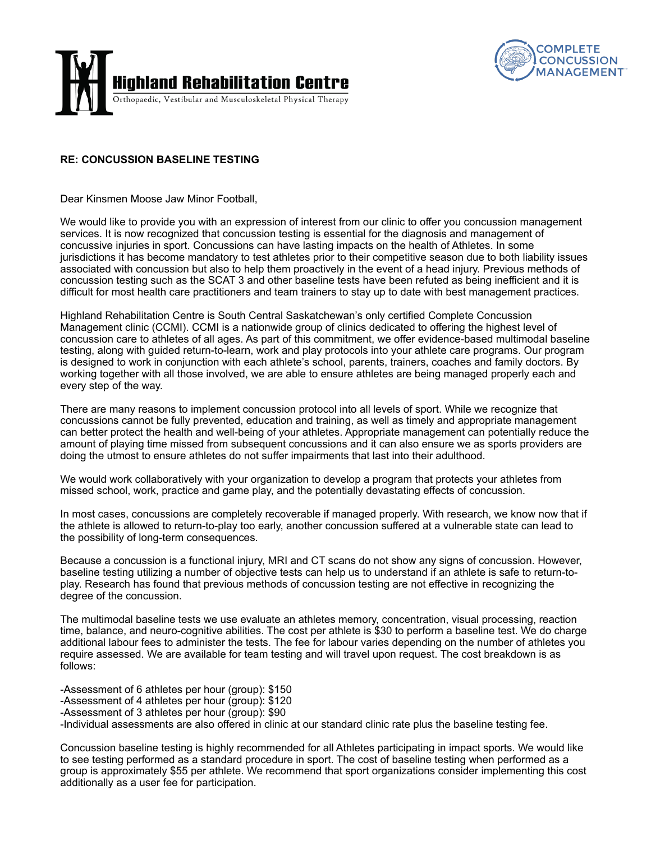



## **RE: CONCUSSION BASELINE TESTING**

Dear Kinsmen Moose Jaw Minor Football,

We would like to provide you with an expression of interest from our clinic to offer you concussion management services. It is now recognized that concussion testing is essential for the diagnosis and management of concussive injuries in sport. Concussions can have lasting impacts on the health of Athletes. In some jurisdictions it has become mandatory to test athletes prior to their competitive season due to both liability issues associated with concussion but also to help them proactively in the event of a head injury. Previous methods of concussion testing such as the SCAT 3 and other baseline tests have been refuted as being inefficient and it is difficult for most health care practitioners and team trainers to stay up to date with best management practices.

Highland Rehabilitation Centre is South Central Saskatchewan's only certified Complete Concussion Management clinic (CCMI). CCMI is a nationwide group of clinics dedicated to offering the highest level of concussion care to athletes of all ages. As part of this commitment, we offer evidence-based multimodal baseline testing, along with guided return-to-learn, work and play protocols into your athlete care programs. Our program is designed to work in conjunction with each athlete's school, parents, trainers, coaches and family doctors. By working together with all those involved, we are able to ensure athletes are being managed properly each and every step of the way.

There are many reasons to implement concussion protocol into all levels of sport. While we recognize that concussions cannot be fully prevented, education and training, as well as timely and appropriate management can better protect the health and well-being of your athletes. Appropriate management can potentially reduce the amount of playing time missed from subsequent concussions and it can also ensure we as sports providers are doing the utmost to ensure athletes do not suffer impairments that last into their adulthood.

We would work collaboratively with your organization to develop a program that protects your athletes from missed school, work, practice and game play, and the potentially devastating effects of concussion.

In most cases, concussions are completely recoverable if managed properly. With research, we know now that if the athlete is allowed to return-to-play too early, another concussion suffered at a vulnerable state can lead to the possibility of long-term consequences.

Because a concussion is a functional injury, MRI and CT scans do not show any signs of concussion. However, baseline testing utilizing a number of objective tests can help us to understand if an athlete is safe to return-toplay. Research has found that previous methods of concussion testing are not effective in recognizing the degree of the concussion.

The multimodal baseline tests we use evaluate an athletes memory, concentration, visual processing, reaction time, balance, and neuro-cognitive abilities. The cost per athlete is \$30 to perform a baseline test. We do charge additional labour fees to administer the tests. The fee for labour varies depending on the number of athletes you require assessed. We are available for team testing and will travel upon request. The cost breakdown is as follows:

-Assessment of 6 athletes per hour (group): \$150 -Assessment of 4 athletes per hour (group): \$120 -Assessment of 3 athletes per hour (group): \$90 -Individual assessments are also offered in clinic at our standard clinic rate plus the baseline testing fee.

Concussion baseline testing is highly recommended for all Athletes participating in impact sports. We would like to see testing performed as a standard procedure in sport. The cost of baseline testing when performed as a group is approximately \$55 per athlete. We recommend that sport organizations consider implementing this cost additionally as a user fee for participation.